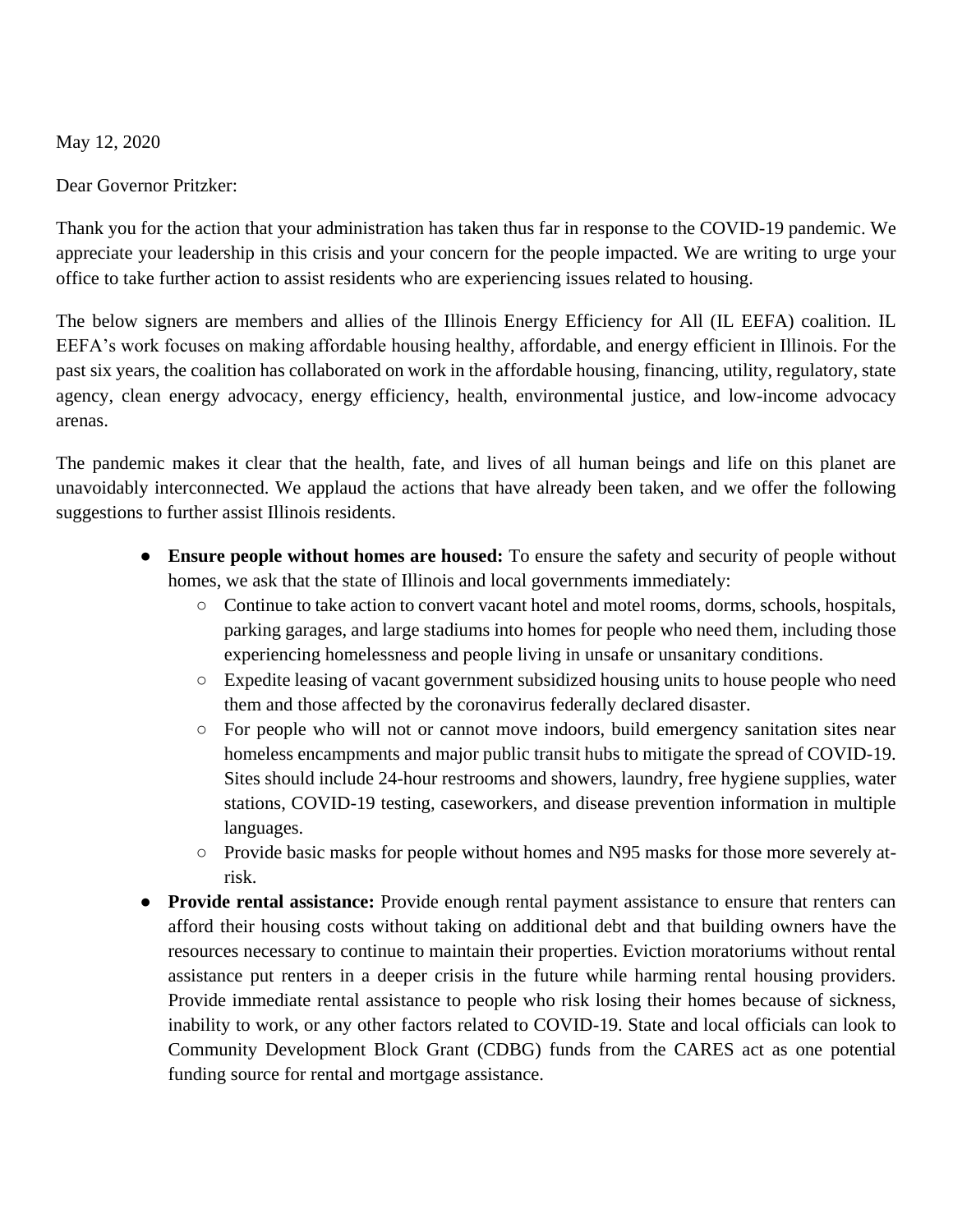May 12, 2020

Dear Governor Pritzker:

Thank you for the action that your administration has taken thus far in response to the COVID-19 pandemic. We appreciate your leadership in this crisis and your concern for the people impacted. We are writing to urge your office to take further action to assist residents who are experiencing issues related to housing.

The below signers are members and allies of the Illinois Energy Efficiency for All (IL EEFA) coalition. IL EEFA's work focuses on making affordable housing healthy, affordable, and energy efficient in Illinois. For the past six years, the coalition has collaborated on work in the affordable housing, financing, utility, regulatory, state agency, clean energy advocacy, energy efficiency, health, environmental justice, and low-income advocacy arenas.

The pandemic makes it clear that the health, fate, and lives of all human beings and life on this planet are unavoidably interconnected. We applaud the actions that have already been taken, and we offer the following suggestions to further assist Illinois residents.

- **Ensure people without homes are housed:** To ensure the safety and security of people without homes, we ask that the state of Illinois and local governments immediately:
	- Continue to take action to convert vacant hotel and motel rooms, dorms, schools, hospitals, parking garages, and large stadiums into homes for people who need them, including those experiencing homelessness and people living in unsafe or unsanitary conditions.
	- Expedite leasing of vacant government subsidized housing units to house people who need them and those affected by the coronavirus federally declared disaster.
	- For people who will not or cannot move indoors, build emergency sanitation sites near homeless encampments and major public transit hubs to mitigate the spread of COVID-19. Sites should include 24-hour restrooms and showers, laundry, free hygiene supplies, water stations, COVID-19 testing, caseworkers, and disease prevention information in multiple languages.
	- Provide basic masks for people without homes and N95 masks for those more severely atrisk.
- **Provide rental assistance:** Provide enough rental payment assistance to ensure that renters can afford their housing costs without taking on additional debt and that building owners have the resources necessary to continue to maintain their properties. Eviction moratoriums without rental assistance put renters in a deeper crisis in the future while harming rental housing providers. Provide immediate rental assistance to people who risk losing their homes because of sickness, inability to work, or any other factors related to COVID-19. State and local officials can look to Community Development Block Grant (CDBG) funds from the CARES act as one potential funding source for rental and mortgage assistance.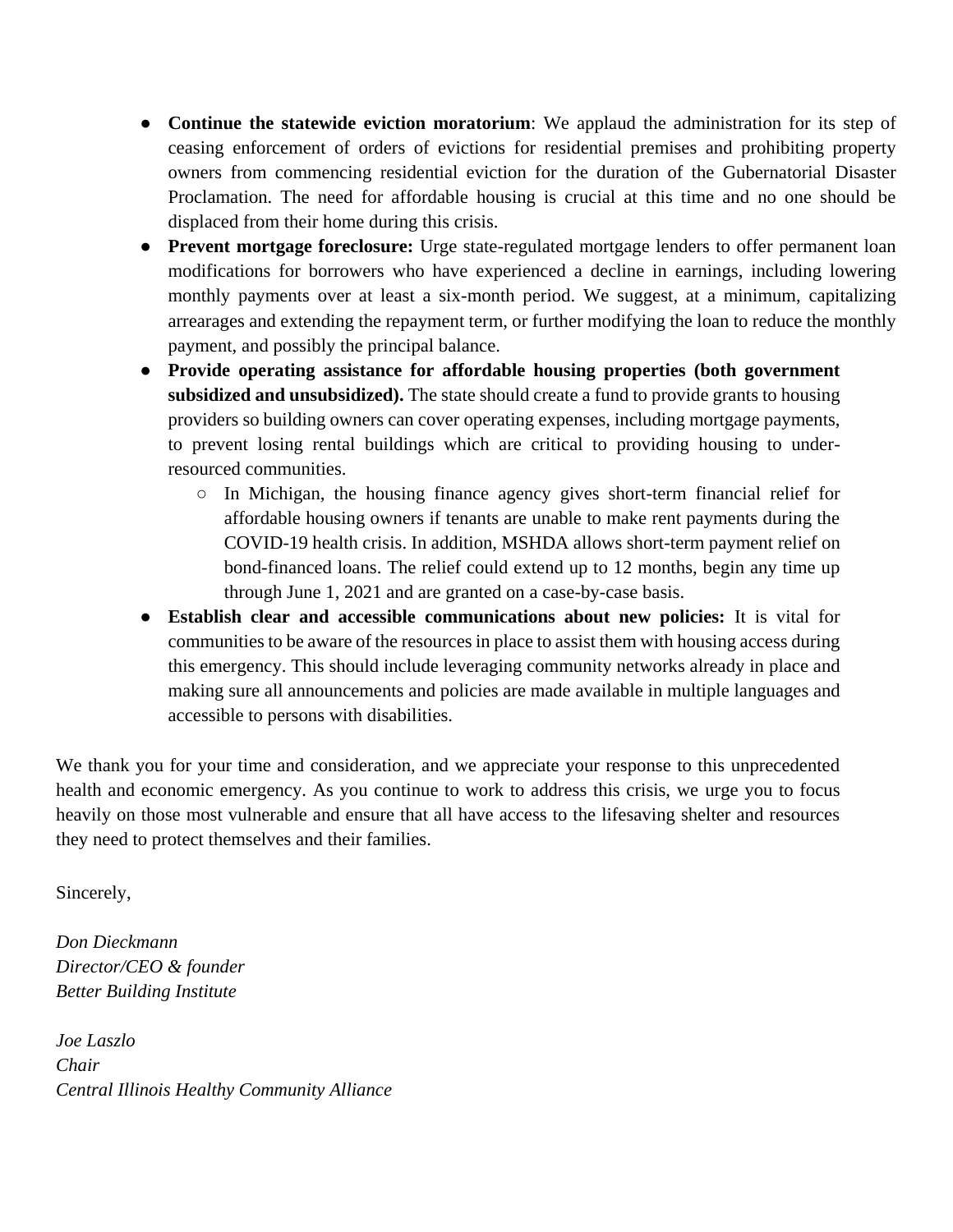- **Continue the statewide eviction moratorium**: We applaud the administration for its step of ceasing enforcement of orders of evictions for residential premises and prohibiting property owners from commencing residential eviction for the duration of the Gubernatorial Disaster Proclamation. The need for affordable housing is crucial at this time and no one should be displaced from their home during this crisis.
- **Prevent mortgage foreclosure:** Urge state-regulated mortgage lenders to offer permanent loan modifications for borrowers who have experienced a decline in earnings, including lowering monthly payments over at least a six-month period. We suggest, at a minimum, capitalizing arrearages and extending the repayment term, or further modifying the loan to reduce the monthly payment, and possibly the principal balance.
- **Provide operating assistance for affordable housing properties (both government subsidized and unsubsidized).** The state should create a fund to provide grants to housing providers so building owners can cover operating expenses, including mortgage payments, to prevent losing rental buildings which are critical to providing housing to underresourced communities.
	- In Michigan, the housing finance agency gives short-term financial relief for affordable housing owners if tenants are unable to make rent payments during the COVID-19 health crisis. In addition, MSHDA allows short-term payment relief on bond-financed loans. The relief could extend up to 12 months, begin any time up through June 1, 2021 and are granted on a case-by-case basis.
- **Establish clear and accessible communications about new policies:** It is vital for communities to be aware of the resources in place to assist them with housing access during this emergency. This should include leveraging community networks already in place and making sure all announcements and policies are made available in multiple languages and accessible to persons with disabilities.

We thank you for your time and consideration, and we appreciate your response to this unprecedented health and economic emergency. As you continue to work to address this crisis, we urge you to focus heavily on those most vulnerable and ensure that all have access to the lifesaving shelter and resources they need to protect themselves and their families.

Sincerely,

*Don Dieckmann Director/CEO & founder Better Building Institute* 

*Joe Laszlo Chair Central Illinois Healthy Community Alliance*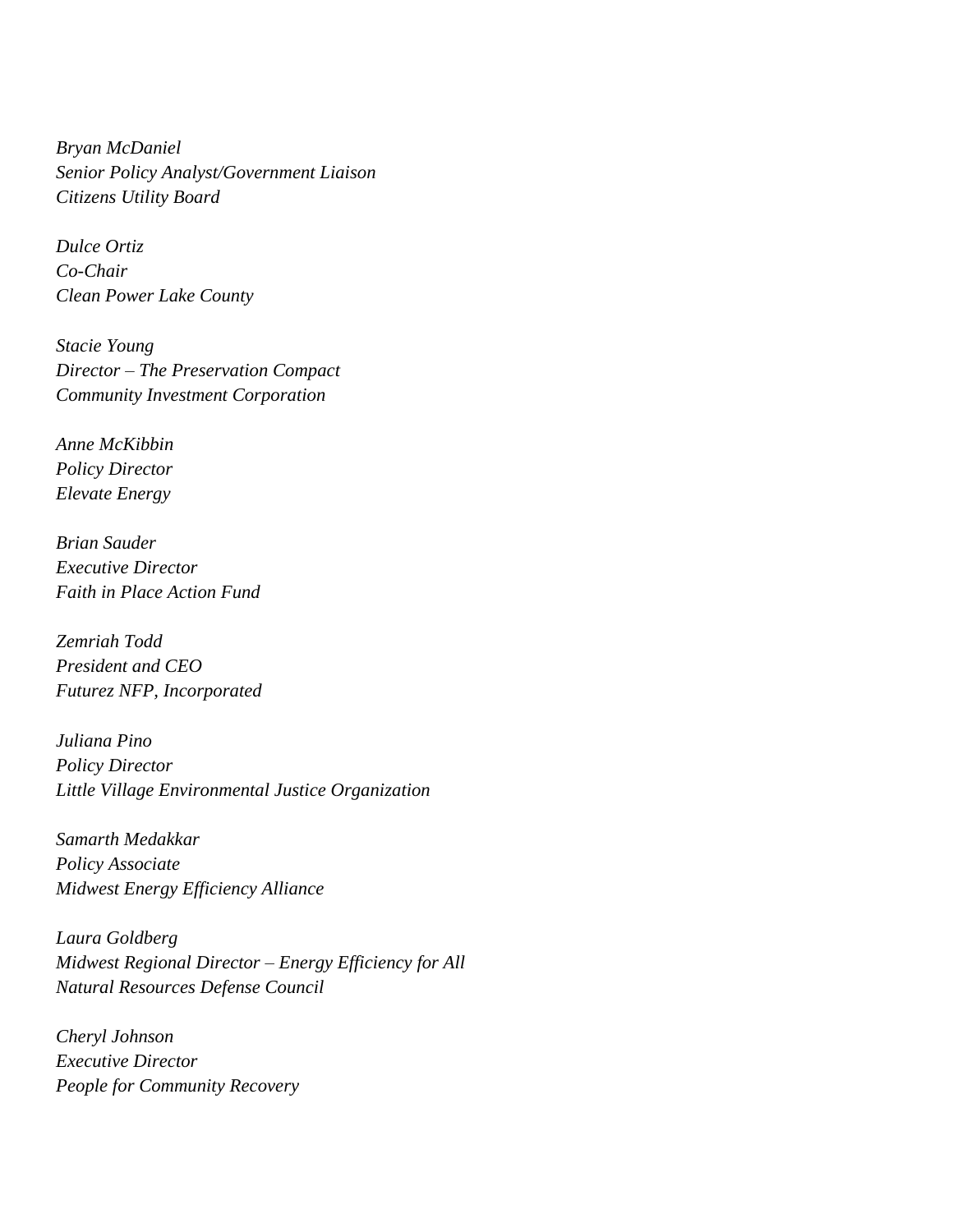*Bryan McDaniel Senior Policy Analyst/Government Liaison Citizens Utility Board* 

*Dulce Ortiz Co-Chair Clean Power Lake County*

*Stacie Young Director – The Preservation Compact Community Investment Corporation*

*Anne McKibbin Policy Director Elevate Energy*

*Brian Sauder Executive Director Faith in Place Action Fund*

*Zemriah Todd President and CEO Futurez NFP, Incorporated*

*Juliana Pino Policy Director Little Village Environmental Justice Organization* 

*Samarth Medakkar Policy Associate Midwest Energy Efficiency Alliance*

*Laura Goldberg Midwest Regional Director – Energy Efficiency for All Natural Resources Defense Council*

*Cheryl Johnson Executive Director People for Community Recovery*